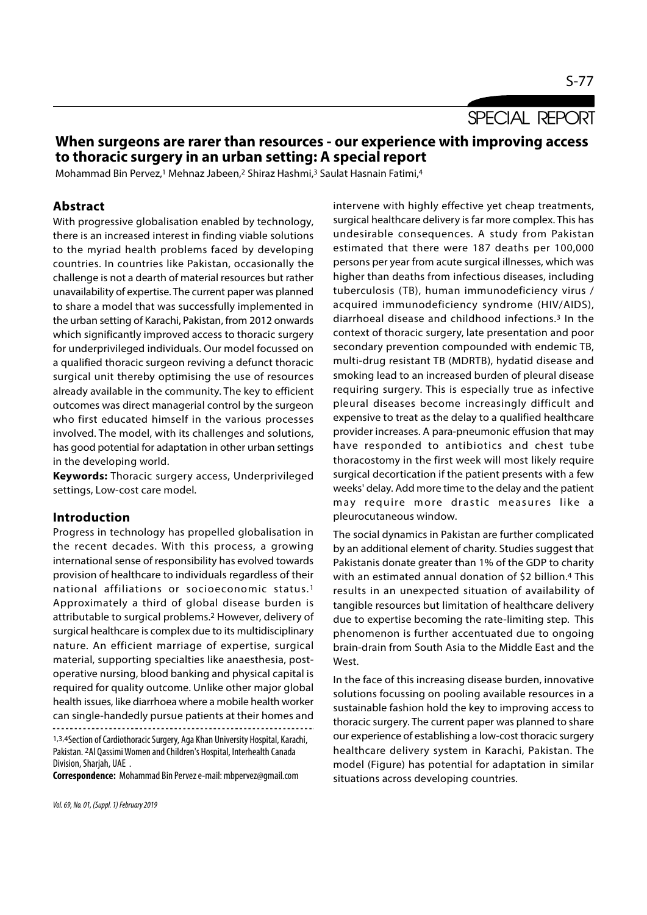SPECIAL REPORT

# When surgeons are rarer than resources - our experience with improving access to thoracic surgery in an urban setting: A special report

Mohammad Bin Pervez,1 Mehnaz Jabeen,2 Shiraz Hashmi,3 Saulat Hasnain Fatimi,<sup>4</sup>

## Abstract

With progressive globalisation enabled by technology, there is an increased interest in finding viable solutions to the myriad health problems faced by developing countries. In countries like Pakistan, occasionally the challenge is not a dearth of material resources but rather unavailability of expertise. The current paper was planned to share a model that was successfully implemented in the urban setting of Karachi, Pakistan, from 2012 onwards which significantly improved access to thoracic surgery for underprivileged individuals. Our model focussed on a qualified thoracic surgeon reviving a defunct thoracic surgical unit thereby optimising the use of resources already available in the community. The key to efficient outcomes was direct managerial control by the surgeon who first educated himself in the various processes involved. The model, with its challenges and solutions, has good potential for adaptation in other urban settings in the developing world.

Keywords: Thoracic surgery access, Underprivileged settings, Low-cost care model.

#### Introduction

Progress in technology has propelled globalisation in the recent decades. With this process, a growing international sense of responsibility has evolved towards provision of healthcare to individuals regardless of their national affiliations or socioeconomic status.1 Approximately a third of global disease burden is attributable to surgical problems.2 However, delivery of surgical healthcare is complex due to its multidisciplinary nature. An efficient marriage of expertise, surgical material, supporting specialties like anaesthesia, postoperative nursing, blood banking and physical capital is required for quality outcome. Unlike other major global health issues, like diarrhoea where a mobile health worker can single-handedly pursue patients at their homes and 

1,3,4Section of Cardiothoracic Surgery, Aga Khan University Hospital, Karachi, Pakistan. 2Al Qassimi Women and Children's Hospital, Interhealth Canada Division, Sharjah, UAE .

Correspondence: Mohammad Bin Pervez e-mail: mbpervez@gmail.com

Vol. 69, No. 01, (Suppl. 1) February 2019

intervene with highly effective yet cheap treatments, surgical healthcare delivery is far more complex. This has undesirable consequences. A study from Pakistan estimated that there were 187 deaths per 100,000 persons per year from acute surgical illnesses, which was higher than deaths from infectious diseases, including tuberculosis (TB), human immunodeficiency virus / acquired immunodeficiency syndrome (HIV/AIDS), diarrhoeal disease and childhood infections.3 In the context of thoracic surgery, late presentation and poor secondary prevention compounded with endemic TB, multi-drug resistant TB (MDRTB), hydatid disease and smoking lead to an increased burden of pleural disease requiring surgery. This is especially true as infective pleural diseases become increasingly difficult and expensive to treat as the delay to a qualified healthcare provider increases. A para-pneumonic effusion that may have responded to antibiotics and chest tube thoracostomy in the first week will most likely require surgical decortication if the patient presents with a few weeks' delay. Add more time to the delay and the patient smoking lead to an incleased butden of pleural disease<br>requiring surgery. This is especially true as infective<br>pleural diseases become increasingly difficult and<br>expensive to treat as the delay to a qualified healthcare<br>pr pleurocutaneous window.

The social dynamics in Pakistan are further complicated by an additional element of charity. Studies suggest that Pakistanis donate greater than 1% of the GDP to charity with an estimated annual donation of \$2 billion.4 This results in an unexpected situation of availability of tangible resources but limitation of healthcare delivery due to expertise becoming the rate-limiting step. This phenomenon is further accentuated due to ongoing brain-drain from South Asia to the Middle East and the West.

In the face of this increasing disease burden, innovative solutions focussing on pooling available resources in a sustainable fashion hold the key to improving access to thoracic surgery. The current paper was planned to share our experience of establishing a low-cost thoracic surgery healthcare delivery system in Karachi, Pakistan. The model (Figure) has potential for adaptation in similar situations across developing countries.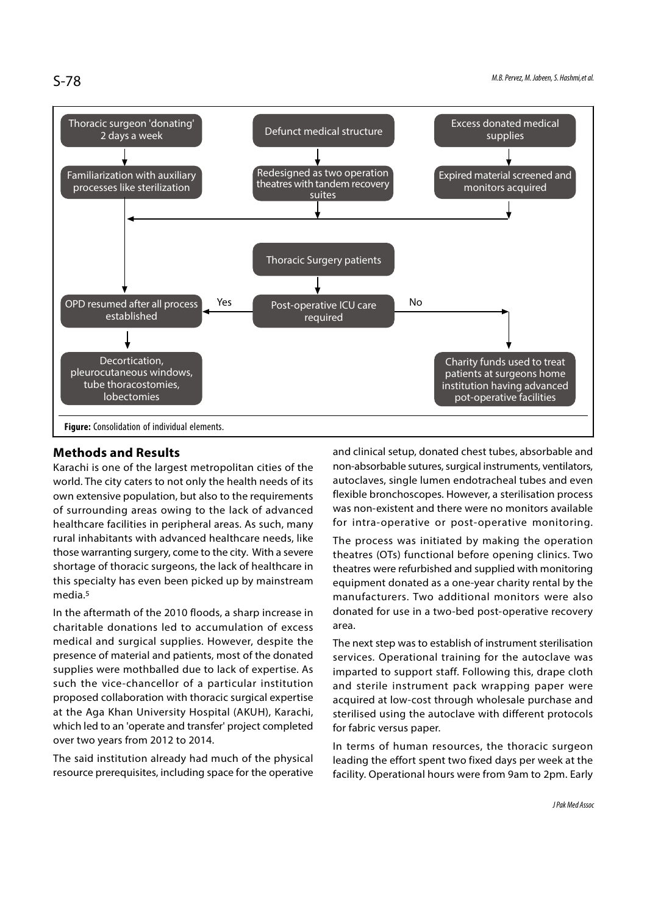

## Methods and Results

Karachi is one of the largest metropolitan cities of the world. The city caters to not only the health needs of its own extensive population, but also to the requirements of surrounding areas owing to the lack of advanced healthcare facilities in peripheral areas. As such, many rural inhabitants with advanced healthcare needs, like those warranting surgery, come to the city. With a severe shortage of thoracic surgeons, the lack of healthcare in this specialty has even been picked up by mainstream media.5

In the aftermath of the 2010 floods, a sharp increase in charitable donations led to accumulation of excess medical and surgical supplies. However, despite the presence of material and patients, most of the donated supplies were mothballed due to lack of expertise. As such the vice-chancellor of a particular institution proposed collaboration with thoracic surgical expertise at the Aga Khan University Hospital (AKUH), Karachi, which led to an 'operate and transfer' project completed over two years from 2012 to 2014.

The said institution already had much of the physical resource prerequisites, including space for the operative and clinical setup, donated chest tubes, absorbable and non-absorbable sutures, surgical instruments, ventilators, autoclaves, single lumen endotracheal tubes and even flexible bronchoscopes. However, a sterilisation process was non-existent and there were no monitors available for intra-operative or post-operative monitoring.

The process was initiated by making the operation theatres (OTs) functional before opening clinics. Two theatres were refurbished and supplied with monitoring equipment donated as a one-year charity rental by the manufacturers. Two additional monitors were also donated for use in a two-bed post-operative recovery area.

The next step was to establish of instrument sterilisation services. Operational training for the autoclave was imparted to support staff. Following this, drape cloth and sterile instrument pack wrapping paper were acquired at low-cost through wholesale purchase and sterilised using the autoclave with different protocols for fabric versus paper.

In terms of human resources, the thoracic surgeon leading the effort spent two fixed days per week at the facility. Operational hours were from 9am to 2pm. Early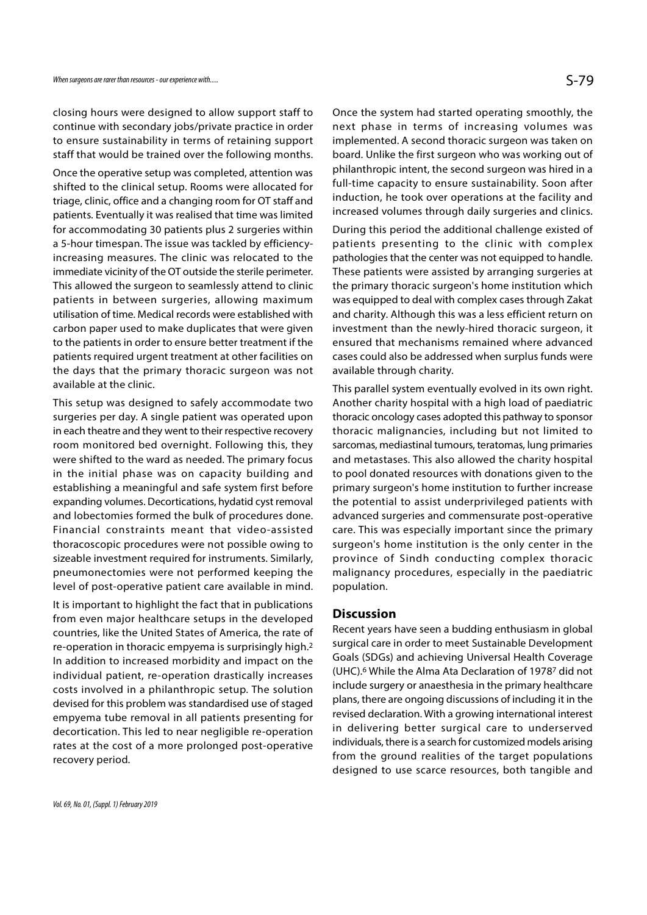closing hours were designed to allow support staff to continue with secondary jobs/private practice in order to ensure sustainability in terms of retaining support staff that would be trained over the following months.

Once the operative setup was completed, attention was shifted to the clinical setup. Rooms were allocated for triage, clinic, office and a changing room for OT staff and patients. Eventually it was realised that time was limited for accommodating 30 patients plus 2 surgeries within a 5-hour timespan. The issue was tackled by efficiencyincreasing measures. The clinic was relocated to the immediate vicinity of the OT outside the sterile perimeter. This allowed the surgeon to seamlessly attend to clinic patients in between surgeries, allowing maximum utilisation of time. Medical records were established with carbon paper used to make duplicates that were given to the patients in order to ensure better treatment if the patients required urgent treatment at other facilities on the days that the primary thoracic surgeon was not available at the clinic.

This setup was designed to safely accommodate two surgeries per day. A single patient was operated upon in each theatre and they went to their respective recovery room monitored bed overnight. Following this, they were shifted to the ward as needed. The primary focus in the initial phase was on capacity building and establishing a meaningful and safe system first before expanding volumes. Decortications, hydatid cyst removal and lobectomies formed the bulk of procedures done. Financial constraints meant that video-assisted thoracoscopic procedures were not possible owing to sizeable investment required for instruments. Similarly, pneumonectomies were not performed keeping the level of post-operative patient care available in mind.

It is important to highlight the fact that in publications from even major healthcare setups in the developed countries, like the United States of America, the rate of re-operation in thoracic empyema is surprisingly high.2 In addition to increased morbidity and impact on the individual patient, re-operation drastically increases costs involved in a philanthropic setup. The solution devised for this problem was standardised use of staged empyema tube removal in all patients presenting for decortication. This led to near negligible re-operation rates at the cost of a more prolonged post-operative recovery period.

Once the system had started operating smoothly, the next phase in terms of increasing volumes was implemented. A second thoracic surgeon was taken on board. Unlike the first surgeon who was working out of philanthropic intent, the second surgeon was hired in a full-time capacity to ensure sustainability. Soon after induction, he took over operations at the facility and increased volumes through daily surgeries and clinics.

During this period the additional challenge existed of patients presenting to the clinic with complex pathologies that the center was not equipped to handle. These patients were assisted by arranging surgeries at the primary thoracic surgeon's home institution which was equipped to deal with complex cases through Zakat and charity. Although this was a less efficient return on investment than the newly-hired thoracic surgeon, it ensured that mechanisms remained where advanced cases could also be addressed when surplus funds were available through charity.

This parallel system eventually evolved in its own right. Another charity hospital with a high load of paediatric thoracic oncology cases adopted this pathway to sponsor thoracic malignancies, including but not limited to sarcomas, mediastinal tumours, teratomas, lung primaries and metastases. This also allowed the charity hospital to pool donated resources with donations given to the primary surgeon's home institution to further increase the potential to assist underprivileged patients with advanced surgeries and commensurate post-operative care. This was especially important since the primary surgeon's home institution is the only center in the province of Sindh conducting complex thoracic malignancy procedures, especially in the paediatric population.

#### **Discussion**

Recent years have seen a budding enthusiasm in global surgical care in order to meet Sustainable Development Goals (SDGs) and achieving Universal Health Coverage (UHC).6 While the Alma Ata Declaration of 19787 did not include surgery or anaesthesia in the primary healthcare plans, there are ongoing discussions of including it in the revised declaration. With a growing international interest in delivering better surgical care to underserved individuals, there is a search for customized models arising from the ground realities of the target populations designed to use scarce resources, both tangible and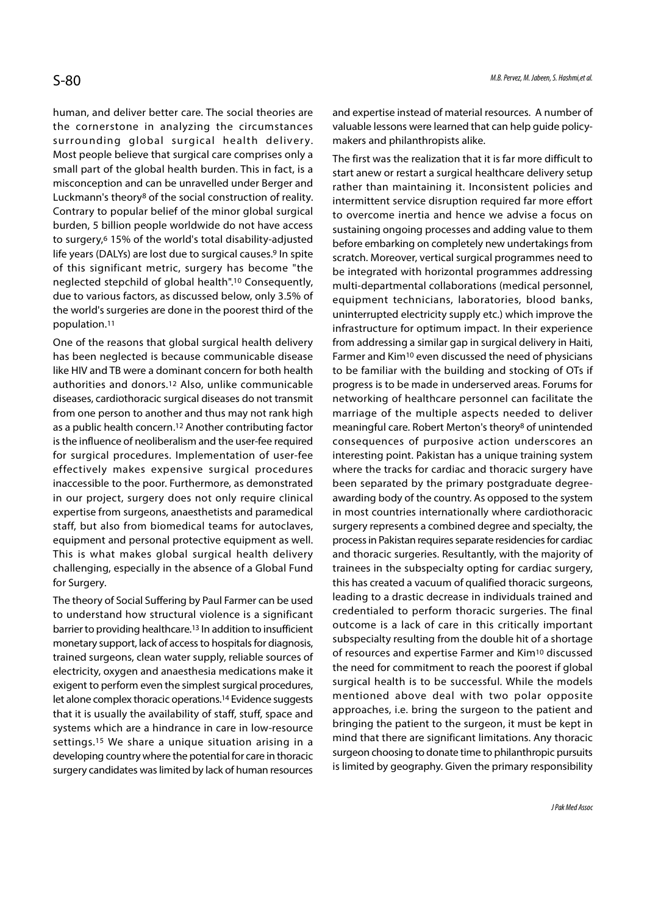human, and deliver better care. The social theories are the cornerstone in analyzing the circumstances surrounding global surgical health delivery. Most people believe that surgical care comprises only a small part of the global health burden. This in fact, is a misconception and can be unravelled under Berger and Luckmann's theory8 of the social construction of reality. Contrary to popular belief of the minor global surgical burden, 5 billion people worldwide do not have access to surgery,6 15% of the world's total disability-adjusted life years (DALYs) are lost due to surgical causes.<sup>9</sup> In spite of this significant metric, surgery has become "the neglected stepchild of global health".10 Consequently, due to various factors, as discussed below, only 3.5% of the world's surgeries are done in the poorest third of the population.11

One of the reasons that global surgical health delivery has been neglected is because communicable disease like HIV and TB were a dominant concern for both health authorities and donors.12 Also, unlike communicable diseases, cardiothoracic surgical diseases do not transmit from one person to another and thus may not rank high as a public health concern.12 Another contributing factor is the influence of neoliberalism and the user-fee required for surgical procedures. Implementation of user-fee effectively makes expensive surgical procedures inaccessible to the poor. Furthermore, as demonstrated in our project, surgery does not only require clinical expertise from surgeons, anaesthetists and paramedical staff, but also from biomedical teams for autoclaves, equipment and personal protective equipment as well. This is what makes global surgical health delivery challenging, especially in the absence of a Global Fund for Surgery.

The theory of Social Suffering by Paul Farmer can be used to understand how structural violence is a significant barrier to providing healthcare.13 In addition to insufficient monetary support, lack of access to hospitals for diagnosis, trained surgeons, clean water supply, reliable sources of electricity, oxygen and anaesthesia medications make it exigent to perform even the simplest surgical procedures, let alone complex thoracic operations.14 Evidence suggests that it is usually the availability of staff, stuff, space and systems which are a hindrance in care in low-resource settings.15 We share a unique situation arising in a developing country where the potential for care in thoracic surgery candidates was limited by lack of human resources

and expertise instead of material resources. A number of valuable lessons were learned that can help guide policymakers and philanthropists alike.

The first was the realization that it is far more difficult to start anew or restart a surgical healthcare delivery setup rather than maintaining it. Inconsistent policies and intermittent service disruption required far more effort to overcome inertia and hence we advise a focus on sustaining ongoing processes and adding value to them before embarking on completely new undertakings from scratch. Moreover, vertical surgical programmes need to be integrated with horizontal programmes addressing multi-departmental collaborations (medical personnel, equipment technicians, laboratories, blood banks, uninterrupted electricity supply etc.) which improve the infrastructure for optimum impact. In their experience from addressing a similar gap in surgical delivery in Haiti, Farmer and Kim10 even discussed the need of physicians to be familiar with the building and stocking of OTs if progress is to be made in underserved areas. Forums for networking of healthcare personnel can facilitate the marriage of the multiple aspects needed to deliver meaningful care. Robert Merton's theory8 of unintended consequences of purposive action underscores an interesting point. Pakistan has a unique training system where the tracks for cardiac and thoracic surgery have been separated by the primary postgraduate degreeawarding body of the country. As opposed to the system in most countries internationally where cardiothoracic surgery represents a combined degree and specialty, the process in Pakistan requires separate residencies for cardiac and thoracic surgeries. Resultantly, with the majority of trainees in the subspecialty opting for cardiac surgery, this has created a vacuum of qualified thoracic surgeons, leading to a drastic decrease in individuals trained and credentialed to perform thoracic surgeries. The final outcome is a lack of care in this critically important subspecialty resulting from the double hit of a shortage of resources and expertise Farmer and Kim10 discussed the need for commitment to reach the poorest if global surgical health is to be successful. While the models mentioned above deal with two polar opposite approaches, i.e. bring the surgeon to the patient and bringing the patient to the surgeon, it must be kept in mind that there are significant limitations. Any thoracic surgeon choosing to donate time to philanthropic pursuits is limited by geography. Given the primary responsibility